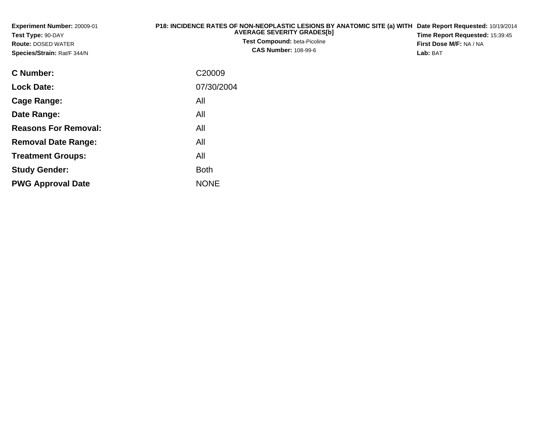| Experiment Number: 20009-01<br>Test Type: 90-DAY<br><b>Route: DOSED WATER</b><br>Species/Strain: Rat/F 344/N | P18: INCIDENCE RATES OF NON-NEOPLASTIC LESIONS BY ANATOMIC SITE (a) WITH Date Report Requested: 10/19/2014<br><b>AVERAGE SEVERITY GRADES[b]</b><br>Test Compound: beta-Picoline<br><b>CAS Number: 108-99-6</b> | Time Report Requested: 15:39:45<br>First Dose M/F: NA / NA<br>Lab: BAT |
|--------------------------------------------------------------------------------------------------------------|----------------------------------------------------------------------------------------------------------------------------------------------------------------------------------------------------------------|------------------------------------------------------------------------|
| <b>C</b> Number:                                                                                             | C <sub>20009</sub>                                                                                                                                                                                             |                                                                        |
| <b>Lock Date:</b>                                                                                            | 07/30/2004                                                                                                                                                                                                     |                                                                        |
| <b>Cage Range:</b>                                                                                           | All                                                                                                                                                                                                            |                                                                        |
| Date Range:                                                                                                  | All                                                                                                                                                                                                            |                                                                        |
| <b>Reasons For Removal:</b>                                                                                  | All                                                                                                                                                                                                            |                                                                        |
| <b>Removal Date Range:</b>                                                                                   | All                                                                                                                                                                                                            |                                                                        |
| <b>Treatment Groups:</b>                                                                                     | All                                                                                                                                                                                                            |                                                                        |

e NONE

Both

**Study Gender:**

**PWG Approval Date**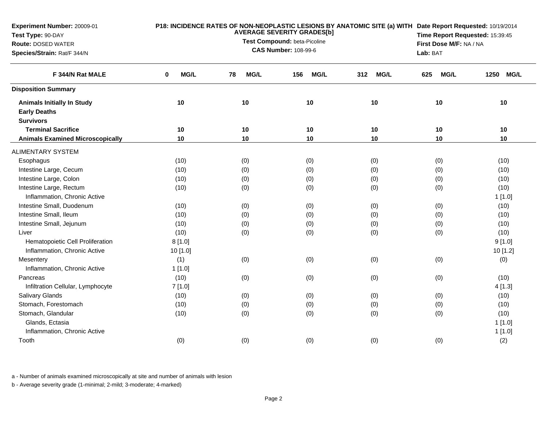| F 344/N Rat MALE                                         | MG/L<br>0 | <b>MG/L</b><br>78 |                    |                    |                    |           |
|----------------------------------------------------------|-----------|-------------------|--------------------|--------------------|--------------------|-----------|
|                                                          |           |                   | <b>MG/L</b><br>156 | <b>MG/L</b><br>312 | <b>MG/L</b><br>625 | 1250 MG/L |
| <b>Disposition Summary</b>                               |           |                   |                    |                    |                    |           |
| <b>Animals Initially In Study</b><br><b>Early Deaths</b> | 10        | 10                | 10                 | 10                 | 10                 | 10        |
| <b>Survivors</b><br><b>Terminal Sacrifice</b>            | 10        | 10                | 10                 | 10                 | 10                 | 10        |
| <b>Animals Examined Microscopically</b>                  | 10        | 10                | 10                 | 10                 | 10                 | 10        |
|                                                          |           |                   |                    |                    |                    |           |
| <b>ALIMENTARY SYSTEM</b>                                 |           |                   |                    |                    |                    |           |
| Esophagus                                                | (10)      | (0)               | (0)                | (0)                | (0)                | (10)      |
| Intestine Large, Cecum                                   | (10)      | (0)               | (0)                | (0)                | (0)                | (10)      |
| Intestine Large, Colon                                   | (10)      | (0)               | (0)                | (0)                | (0)                | (10)      |
| Intestine Large, Rectum                                  | (10)      | (0)               | (0)                | (0)                | (0)                | (10)      |
| Inflammation, Chronic Active                             |           |                   |                    |                    |                    | 1[1.0]    |
| Intestine Small, Duodenum                                | (10)      | (0)               | (0)                | (0)                | (0)                | (10)      |
| Intestine Small, Ileum                                   | (10)      | (0)               | (0)                | (0)                | (0)                | (10)      |
| Intestine Small, Jejunum                                 | (10)      | (0)               | (0)                | (0)                | (0)                | (10)      |
| Liver                                                    | (10)      | (0)               | (0)                | (0)                | (0)                | (10)      |
| Hematopoietic Cell Proliferation                         | 8[1.0]    |                   |                    |                    |                    | 9[1.0]    |
| Inflammation, Chronic Active                             | 10 [1.0]  |                   |                    |                    |                    | 10 [1.2]  |
| Mesentery                                                | (1)       | (0)               | (0)                | (0)                | (0)                | (0)       |
| Inflammation, Chronic Active                             | 1[1.0]    |                   |                    |                    |                    |           |
| Pancreas                                                 | (10)      | (0)               | (0)                | (0)                | (0)                | (10)      |
| Infiltration Cellular, Lymphocyte                        | 7[1.0]    |                   |                    |                    |                    | 4[1.3]    |
| Salivary Glands                                          | (10)      | (0)               | (0)                | (0)                | (0)                | (10)      |
| Stomach, Forestomach                                     | (10)      | (0)               | (0)                | (0)                | (0)                | (10)      |
| Stomach, Glandular                                       | (10)      | (0)               | (0)                | (0)                | (0)                | (10)      |
| Glands, Ectasia                                          |           |                   |                    |                    |                    | 1[1.0]    |
| Inflammation, Chronic Active                             |           |                   |                    |                    |                    | 1[1.0]    |
| Tooth                                                    | (0)       | (0)               | (0)                | (0)                | (0)                | (2)       |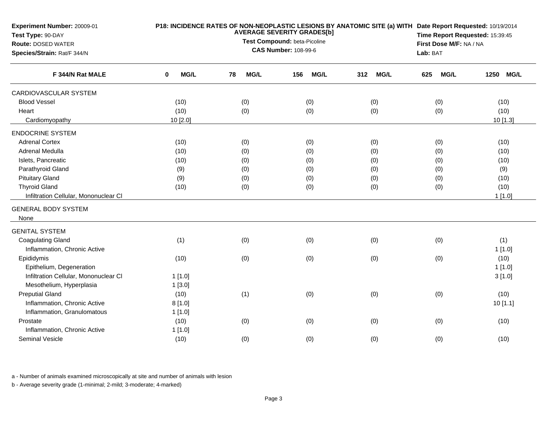| Experiment Number: 20009-01<br>Test Type: 90-DAY<br><b>Route: DOSED WATER</b><br>Species/Strain: Rat/F 344/N |           | <b>AVERAGE SEVERITY GRADES[b]</b><br>Test Compound: beta-Picoline<br><b>CAS Number: 108-99-6</b> | P18: INCIDENCE RATES OF NON-NEOPLASTIC LESIONS BY ANATOMIC SITE (a) WITH Date Report Requested: 10/19/2014<br>Time Report Requested: 15:39:45<br>First Dose M/F: NA / NA<br>Lab: BAT |                    |                    |                     |
|--------------------------------------------------------------------------------------------------------------|-----------|--------------------------------------------------------------------------------------------------|--------------------------------------------------------------------------------------------------------------------------------------------------------------------------------------|--------------------|--------------------|---------------------|
| F 344/N Rat MALE                                                                                             | MG/L<br>0 | <b>MG/L</b><br>78                                                                                | MG/L<br>156                                                                                                                                                                          | <b>MG/L</b><br>312 | <b>MG/L</b><br>625 | 1250<br><b>MG/L</b> |
| CARDIOVASCULAR SYSTEM                                                                                        |           |                                                                                                  |                                                                                                                                                                                      |                    |                    |                     |
| <b>Blood Vessel</b>                                                                                          | (10)      | (0)                                                                                              | (0)                                                                                                                                                                                  | (0)                | (0)                | (10)                |
| Heart                                                                                                        | (10)      | (0)                                                                                              | (0)                                                                                                                                                                                  | (0)                | (0)                | (10)                |
| Cardiomyopathy                                                                                               | 10 [2.0]  |                                                                                                  |                                                                                                                                                                                      |                    |                    | 10 [1.3]            |
| <b>ENDOCRINE SYSTEM</b>                                                                                      |           |                                                                                                  |                                                                                                                                                                                      |                    |                    |                     |
| <b>Adrenal Cortex</b>                                                                                        | (10)      | (0)                                                                                              | (0)                                                                                                                                                                                  | (0)                | (0)                | (10)                |
| Adrenal Medulla                                                                                              | (10)      | (0)                                                                                              | (0)                                                                                                                                                                                  | (0)                | (0)                | (10)                |
| Islets, Pancreatic                                                                                           | (10)      | (0)                                                                                              | (0)                                                                                                                                                                                  | (0)                | (0)                | (10)                |
| Parathyroid Gland                                                                                            | (9)       | (0)                                                                                              | (0)                                                                                                                                                                                  | (0)                | (0)                | (9)                 |
| <b>Pituitary Gland</b>                                                                                       | (9)       | (0)                                                                                              | (0)                                                                                                                                                                                  | (0)                | (0)                | (10)                |
| <b>Thyroid Gland</b>                                                                                         | (10)      | (0)                                                                                              | (0)                                                                                                                                                                                  | (0)                | (0)                | (10)                |
| Infiltration Cellular, Mononuclear CI                                                                        |           |                                                                                                  |                                                                                                                                                                                      |                    |                    | 1[1.0]              |
| <b>GENERAL BODY SYSTEM</b>                                                                                   |           |                                                                                                  |                                                                                                                                                                                      |                    |                    |                     |
| None                                                                                                         |           |                                                                                                  |                                                                                                                                                                                      |                    |                    |                     |
| <b>GENITAL SYSTEM</b>                                                                                        |           |                                                                                                  |                                                                                                                                                                                      |                    |                    |                     |
| <b>Coagulating Gland</b>                                                                                     | (1)       | (0)                                                                                              | (0)                                                                                                                                                                                  | (0)                | (0)                | (1)                 |
| Inflammation, Chronic Active                                                                                 |           |                                                                                                  |                                                                                                                                                                                      |                    |                    | 1[1.0]              |
| Epididymis                                                                                                   | (10)      | (0)                                                                                              | (0)                                                                                                                                                                                  | (0)                | (0)                | (10)                |
| Epithelium, Degeneration                                                                                     |           |                                                                                                  |                                                                                                                                                                                      |                    |                    | 1[1.0]              |
| Infiltration Cellular, Mononuclear CI                                                                        | 1[1.0]    |                                                                                                  |                                                                                                                                                                                      |                    |                    | 3[1.0]              |
| Mesothelium, Hyperplasia                                                                                     | 1[3.0]    |                                                                                                  |                                                                                                                                                                                      |                    |                    |                     |
| <b>Preputial Gland</b>                                                                                       | (10)      | (1)                                                                                              | (0)                                                                                                                                                                                  | (0)                | (0)                | (10)                |
| Inflammation, Chronic Active                                                                                 | 8[1.0]    |                                                                                                  |                                                                                                                                                                                      |                    |                    | 10[1.1]             |
| Inflammation, Granulomatous                                                                                  | 1 [1.0]   |                                                                                                  |                                                                                                                                                                                      |                    |                    |                     |
| Prostate                                                                                                     | (10)      | (0)                                                                                              | (0)                                                                                                                                                                                  | (0)                | (0)                | (10)                |
| Inflammation, Chronic Active                                                                                 | 1[1.0]    |                                                                                                  |                                                                                                                                                                                      |                    |                    |                     |
| <b>Seminal Vesicle</b>                                                                                       | (10)      | (0)                                                                                              | (0)                                                                                                                                                                                  | (0)                | (0)                | (10)                |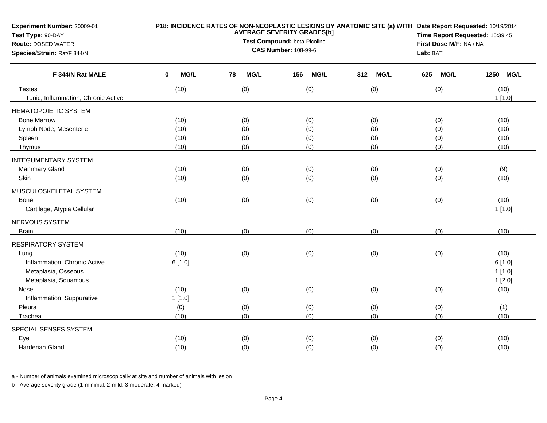| <b>Experiment Number: 20009-01</b><br>Test Type: 90-DAY<br><b>Route: DOSED WATER</b><br>Species/Strain: Rat/F 344/N |                  | Lab: BAT          | P18: INCIDENCE RATES OF NON-NEOPLASTIC LESIONS BY ANATOMIC SITE (a) WITH Date Report Requested: 10/19/2014<br>Time Report Requested: 15:39:45<br>First Dose M/F: NA / NA |                    |                    |           |
|---------------------------------------------------------------------------------------------------------------------|------------------|-------------------|--------------------------------------------------------------------------------------------------------------------------------------------------------------------------|--------------------|--------------------|-----------|
| F 344/N Rat MALE                                                                                                    | 0<br><b>MG/L</b> | 78<br><b>MG/L</b> | 156<br><b>MG/L</b>                                                                                                                                                       | <b>MG/L</b><br>312 | <b>MG/L</b><br>625 | 1250 MG/L |
| <b>Testes</b>                                                                                                       | (10)             | (0)               | (0)                                                                                                                                                                      | (0)                | (0)                | (10)      |
| Tunic, Inflammation, Chronic Active                                                                                 |                  |                   |                                                                                                                                                                          |                    |                    | 1[1.0]    |
| <b>HEMATOPOIETIC SYSTEM</b>                                                                                         |                  |                   |                                                                                                                                                                          |                    |                    |           |
| <b>Bone Marrow</b>                                                                                                  | (10)             | (0)               | (0)                                                                                                                                                                      | (0)                | (0)                | (10)      |
| Lymph Node, Mesenteric                                                                                              | (10)             | (0)               | (0)                                                                                                                                                                      | (0)                | (0)                | (10)      |
| Spleen                                                                                                              | (10)             | (0)               | (0)                                                                                                                                                                      | (0)                | (0)                | (10)      |
| Thymus                                                                                                              | (10)             | (0)               | (0)                                                                                                                                                                      | (0)                | (0)                | (10)      |
| <b>INTEGUMENTARY SYSTEM</b>                                                                                         |                  |                   |                                                                                                                                                                          |                    |                    |           |
| Mammary Gland                                                                                                       | (10)             | (0)               | (0)                                                                                                                                                                      | (0)                | (0)                | (9)       |
| Skin                                                                                                                | (10)             | (0)               | (0)                                                                                                                                                                      | (0)                | (0)                | (10)      |
| MUSCULOSKELETAL SYSTEM                                                                                              |                  |                   |                                                                                                                                                                          |                    |                    |           |
| <b>Bone</b>                                                                                                         | (10)             | (0)               | (0)                                                                                                                                                                      | (0)                | (0)                | (10)      |
| Cartilage, Atypia Cellular                                                                                          |                  |                   |                                                                                                                                                                          |                    |                    | 1[1.0]    |
| NERVOUS SYSTEM                                                                                                      |                  |                   |                                                                                                                                                                          |                    |                    |           |
| <b>Brain</b>                                                                                                        | (10)             | (0)               | (0)                                                                                                                                                                      | (0)                | (0)                | (10)      |
| <b>RESPIRATORY SYSTEM</b>                                                                                           |                  |                   |                                                                                                                                                                          |                    |                    |           |
| Lung                                                                                                                | (10)             | (0)               | (0)                                                                                                                                                                      | (0)                | (0)                | (10)      |
| Inflammation, Chronic Active                                                                                        | 6[1.0]           |                   |                                                                                                                                                                          |                    |                    | 6[1.0]    |
| Metaplasia, Osseous                                                                                                 |                  |                   |                                                                                                                                                                          |                    |                    | 1[1.0]    |
| Metaplasia, Squamous                                                                                                |                  |                   |                                                                                                                                                                          |                    |                    | 1[2.0]    |
| Nose                                                                                                                | (10)             | (0)               | (0)                                                                                                                                                                      | (0)                | (0)                | (10)      |
| Inflammation, Suppurative                                                                                           | 1[1.0]           |                   |                                                                                                                                                                          |                    |                    |           |
| Pleura                                                                                                              | (0)              | (0)               | (0)                                                                                                                                                                      | (0)                | (0)                | (1)       |
| Trachea                                                                                                             | (10)             | (0)               | (0)                                                                                                                                                                      | (0)                | (0)                | (10)      |
| SPECIAL SENSES SYSTEM                                                                                               |                  |                   |                                                                                                                                                                          |                    |                    |           |
| Eye                                                                                                                 | (10)             | (0)               | (0)                                                                                                                                                                      | (0)                | (0)                | (10)      |
| Harderian Gland                                                                                                     | (10)             | (0)               | (0)                                                                                                                                                                      | (0)                | (0)                | (10)      |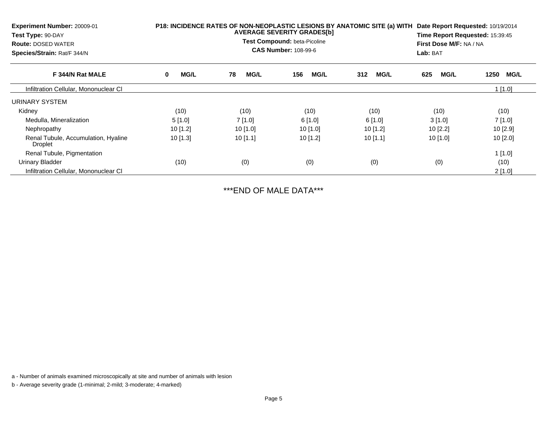| <b>Experiment Number: 20009-01</b><br>Test Type: 90-DAY<br><b>Route: DOSED WATER</b><br>Species/Strain: Rat/F 344/N |            | P18: INCIDENCE RATES OF NON-NEOPLASTIC LESIONS BY ANATOMIC SITE (a) WITH<br>Date Report Requested: 10/19/2014<br><b>AVERAGE SEVERITY GRADES[b]</b><br>Time Report Requested: 15:39:45<br>Test Compound: beta-Picoline<br>First Dose M/F: NA / NA<br><b>CAS Number: 108-99-6</b><br>Lab: BAT |                    |                    |                    |                     |
|---------------------------------------------------------------------------------------------------------------------|------------|---------------------------------------------------------------------------------------------------------------------------------------------------------------------------------------------------------------------------------------------------------------------------------------------|--------------------|--------------------|--------------------|---------------------|
| F 344/N Rat MALE                                                                                                    | MG/L<br>0  | 78<br><b>MG/L</b>                                                                                                                                                                                                                                                                           | <b>MG/L</b><br>156 | <b>MG/L</b><br>312 | 625<br><b>MG/L</b> | <b>MG/L</b><br>1250 |
| Infiltration Cellular, Mononuclear CI                                                                               |            |                                                                                                                                                                                                                                                                                             |                    |                    |                    | $1$ [1.0]           |
| URINARY SYSTEM                                                                                                      |            |                                                                                                                                                                                                                                                                                             |                    |                    |                    |                     |
| Kidney                                                                                                              | (10)       | (10)                                                                                                                                                                                                                                                                                        | (10)               | (10)               | (10)               | (10)                |
| Medulla, Mineralization                                                                                             | 5[1.0]     | 7[1.0]                                                                                                                                                                                                                                                                                      | 6[1.0]             | 6[1.0]             | 3[1.0]             | 7[1.0]              |
| Nephropathy                                                                                                         | $10$ [1.2] | 10[1.0]                                                                                                                                                                                                                                                                                     | 10 $[1.0]$         | 10[1.2]            | 10 [2.2]           | 10[2.9]             |
| Renal Tubule, Accumulation, Hyaline<br>Droplet                                                                      | $10$ [1.3] | $10$ [1.1]                                                                                                                                                                                                                                                                                  | $10$ [1.2]         | $10$ [1.1]         | 10 [1.0]           | $10$ [2.0]          |
| Renal Tubule, Pigmentation                                                                                          |            |                                                                                                                                                                                                                                                                                             |                    |                    |                    | 1[1.0]              |
| <b>Urinary Bladder</b>                                                                                              | (10)       | (0)                                                                                                                                                                                                                                                                                         | (0)                | (0)                | (0)                | (10)                |
| Infiltration Cellular, Mononuclear CI                                                                               |            |                                                                                                                                                                                                                                                                                             |                    |                    |                    | 2[1.0]              |

\*\*\*END OF MALE DATA\*\*\*

a - Number of animals examined microscopically at site and number of animals with lesion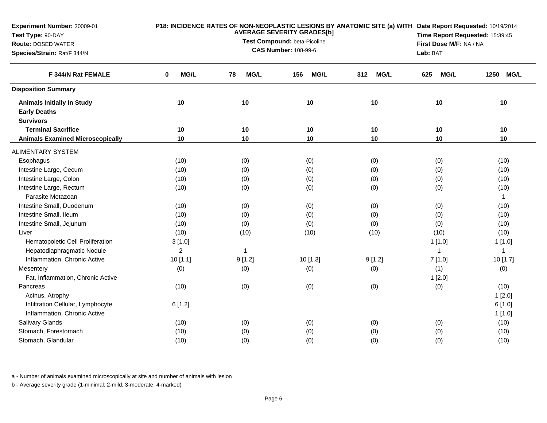| Experiment Number: 20009-01<br>Test Type: 90-DAY<br><b>Route: DOSED WATER</b><br>Species/Strain: Rat/F 344/N | P18: INCIDENCE RATES OF NON-NEOPLASTIC LESIONS BY ANATOMIC SITE (a) WITH Date Report Requested: 10/19/2014<br><b>AVERAGE SEVERITY GRADES[b]</b><br>Test Compound: beta-Picoline<br><b>CAS Number: 108-99-6</b><br>Lab: BAT |                   |                    |                    |                    | Time Report Requested: 15:39:45<br>First Dose M/F: NA / NA |  |
|--------------------------------------------------------------------------------------------------------------|----------------------------------------------------------------------------------------------------------------------------------------------------------------------------------------------------------------------------|-------------------|--------------------|--------------------|--------------------|------------------------------------------------------------|--|
| F 344/N Rat FEMALE                                                                                           | MG/L<br>0                                                                                                                                                                                                                  | <b>MG/L</b><br>78 | <b>MG/L</b><br>156 | <b>MG/L</b><br>312 | <b>MG/L</b><br>625 | 1250 MG/L                                                  |  |
| <b>Disposition Summary</b>                                                                                   |                                                                                                                                                                                                                            |                   |                    |                    |                    |                                                            |  |
| <b>Animals Initially In Study</b><br><b>Early Deaths</b><br><b>Survivors</b>                                 | 10                                                                                                                                                                                                                         | 10                | 10                 | 10                 | 10                 | 10                                                         |  |
| <b>Terminal Sacrifice</b>                                                                                    | 10                                                                                                                                                                                                                         | 10                | 10                 | 10                 | 10                 | 10                                                         |  |
| <b>Animals Examined Microscopically</b>                                                                      | 10                                                                                                                                                                                                                         | 10                | 10                 | 10                 | 10                 | 10                                                         |  |
| <b>ALIMENTARY SYSTEM</b>                                                                                     |                                                                                                                                                                                                                            |                   |                    |                    |                    |                                                            |  |
| Esophagus                                                                                                    | (10)                                                                                                                                                                                                                       | (0)               | (0)                | (0)                | (0)                | (10)                                                       |  |
| Intestine Large, Cecum                                                                                       | (10)                                                                                                                                                                                                                       | (0)               | (0)                | (0)                | (0)                | (10)                                                       |  |
| Intestine Large, Colon                                                                                       | (10)                                                                                                                                                                                                                       | (0)               | (0)                | (0)                | (0)                | (10)                                                       |  |
| Intestine Large, Rectum                                                                                      | (10)                                                                                                                                                                                                                       | (0)               | (0)                | (0)                | (0)                | (10)                                                       |  |
| Parasite Metazoan                                                                                            |                                                                                                                                                                                                                            |                   |                    |                    |                    | $\mathbf{1}$                                               |  |
| Intestine Small, Duodenum                                                                                    | (10)                                                                                                                                                                                                                       | (0)               | (0)                | (0)                | (0)                | (10)                                                       |  |
| Intestine Small, Ileum                                                                                       | (10)                                                                                                                                                                                                                       | (0)               | (0)                | (0)                | (0)                | (10)                                                       |  |
| Intestine Small, Jejunum                                                                                     | (10)                                                                                                                                                                                                                       | (0)               | (0)                | (0)                | (0)                | (10)                                                       |  |
| Liver                                                                                                        | (10)                                                                                                                                                                                                                       | (10)              | (10)               | (10)               | (10)               | (10)                                                       |  |
| Hematopoietic Cell Proliferation                                                                             | 3[1.0]                                                                                                                                                                                                                     |                   |                    |                    | 1[1.0]             | 1[1.0]                                                     |  |
| Hepatodiaphragmatic Nodule                                                                                   | $\overline{2}$                                                                                                                                                                                                             | 1                 |                    |                    | $\mathbf{1}$       | 1                                                          |  |
| Inflammation, Chronic Active                                                                                 | 10[1.1]                                                                                                                                                                                                                    | 9[1.2]            | $10$ [1.3]         | 9[1.2]             | 7[1.0]             | 10 [1.7]                                                   |  |
| Mesentery                                                                                                    | (0)                                                                                                                                                                                                                        | (0)               | (0)                | (0)                | (1)                | (0)                                                        |  |
| Fat, Inflammation, Chronic Active                                                                            |                                                                                                                                                                                                                            |                   |                    |                    | 1[2.0]             |                                                            |  |
| Pancreas<br>Acinus, Atrophy                                                                                  | (10)                                                                                                                                                                                                                       | (0)               | (0)                | (0)                | (0)                | (10)<br>1[2.0]                                             |  |
| Infiltration Cellular, Lymphocyte<br>Inflammation, Chronic Active                                            | 6[1.2]                                                                                                                                                                                                                     |                   |                    |                    |                    | 6[1.0]<br>1[1.0]                                           |  |
| Salivary Glands                                                                                              | (10)                                                                                                                                                                                                                       | (0)               | (0)                | (0)                | (0)                | (10)                                                       |  |
| Stomach, Forestomach                                                                                         | (10)                                                                                                                                                                                                                       | (0)               | (0)                | (0)                | (0)                | (10)                                                       |  |
| Stomach, Glandular                                                                                           | (10)                                                                                                                                                                                                                       | (0)               | (0)                | (0)                | (0)                | (10)                                                       |  |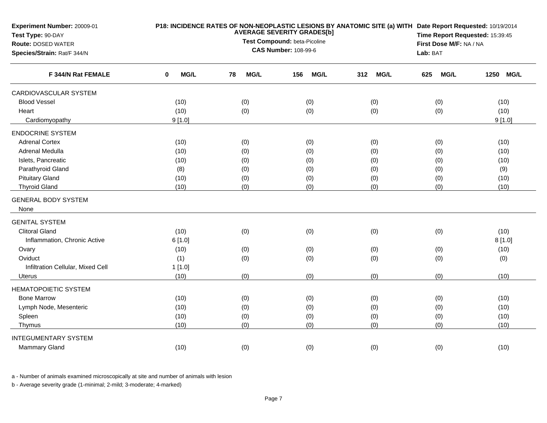| Experiment Number: 20009-01<br>Test Type: 90-DAY         |           |                   | <b>AVERAGE SEVERITY GRADES[b]</b><br>Test Compound: beta-Picoline |                    | P18: INCIDENCE RATES OF NON-NEOPLASTIC LESIONS BY ANATOMIC SITE (a) WITH Date Report Requested: 10/19/2014<br>Time Report Requested: 15:39:45 |                     |  |  |
|----------------------------------------------------------|-----------|-------------------|-------------------------------------------------------------------|--------------------|-----------------------------------------------------------------------------------------------------------------------------------------------|---------------------|--|--|
| <b>Route: DOSED WATER</b><br>Species/Strain: Rat/F 344/N |           |                   | <b>CAS Number: 108-99-6</b>                                       |                    | First Dose M/F: NA / NA<br>Lab: BAT                                                                                                           |                     |  |  |
| F 344/N Rat FEMALE                                       | MG/L<br>0 | 78<br><b>MG/L</b> | 156<br><b>MG/L</b>                                                | 312<br><b>MG/L</b> | 625<br><b>MG/L</b>                                                                                                                            | <b>MG/L</b><br>1250 |  |  |
| CARDIOVASCULAR SYSTEM                                    |           |                   |                                                                   |                    |                                                                                                                                               |                     |  |  |
| <b>Blood Vessel</b>                                      | (10)      | (0)               | (0)                                                               | (0)                | (0)                                                                                                                                           | (10)                |  |  |
| Heart                                                    | (10)      | (0)               | (0)                                                               | (0)                | (0)                                                                                                                                           | (10)                |  |  |
| Cardiomyopathy                                           | 9[1.0]    |                   |                                                                   |                    |                                                                                                                                               | 9[1.0]              |  |  |
| <b>ENDOCRINE SYSTEM</b>                                  |           |                   |                                                                   |                    |                                                                                                                                               |                     |  |  |
| <b>Adrenal Cortex</b>                                    | (10)      | (0)               | (0)                                                               | (0)                | (0)                                                                                                                                           | (10)                |  |  |
| Adrenal Medulla                                          | (10)      | (0)               | (0)                                                               | (0)                | (0)                                                                                                                                           | (10)                |  |  |
| Islets, Pancreatic                                       | (10)      | (0)               | (0)                                                               | (0)                | (0)                                                                                                                                           | (10)                |  |  |
| Parathyroid Gland                                        | (8)       | (0)               | (0)                                                               | (0)                | (0)                                                                                                                                           | (9)                 |  |  |
| <b>Pituitary Gland</b>                                   | (10)      | (0)               | (0)                                                               | (0)                | (0)                                                                                                                                           | (10)                |  |  |
| <b>Thyroid Gland</b>                                     | (10)      | (0)               | (0)                                                               | (0)                | (0)                                                                                                                                           | (10)                |  |  |
| <b>GENERAL BODY SYSTEM</b>                               |           |                   |                                                                   |                    |                                                                                                                                               |                     |  |  |
| None                                                     |           |                   |                                                                   |                    |                                                                                                                                               |                     |  |  |
| <b>GENITAL SYSTEM</b>                                    |           |                   |                                                                   |                    |                                                                                                                                               |                     |  |  |
| <b>Clitoral Gland</b>                                    | (10)      | (0)               | (0)                                                               | (0)                | (0)                                                                                                                                           | (10)                |  |  |
| Inflammation, Chronic Active                             | 6[1.0]    |                   |                                                                   |                    |                                                                                                                                               | 8[1.0]              |  |  |
| Ovary                                                    | (10)      | (0)               | (0)                                                               | (0)                | (0)                                                                                                                                           | (10)                |  |  |
| Oviduct                                                  | (1)       | (0)               | (0)                                                               | (0)                | (0)                                                                                                                                           | (0)                 |  |  |
| Infiltration Cellular, Mixed Cell                        | 1[1.0]    |                   |                                                                   |                    |                                                                                                                                               |                     |  |  |
| <b>Uterus</b>                                            | (10)      | (0)               | (0)                                                               | (0)                | (0)                                                                                                                                           | (10)                |  |  |
| <b>HEMATOPOIETIC SYSTEM</b>                              |           |                   |                                                                   |                    |                                                                                                                                               |                     |  |  |
| <b>Bone Marrow</b>                                       | (10)      | (0)               | (0)                                                               | (0)                | (0)                                                                                                                                           | (10)                |  |  |
| Lymph Node, Mesenteric                                   | (10)      | (0)               | (0)                                                               | (0)                | (0)                                                                                                                                           | (10)                |  |  |
| Spleen                                                   | (10)      | (0)               | (0)                                                               | (0)                | (0)                                                                                                                                           | (10)                |  |  |
| Thymus                                                   | (10)      | (0)               | (0)                                                               | (0)                | (0)                                                                                                                                           | (10)                |  |  |
| <b>INTEGUMENTARY SYSTEM</b>                              |           |                   |                                                                   |                    |                                                                                                                                               |                     |  |  |
| Mammary Gland                                            | (10)      | (0)               | (0)                                                               | (0)                | (0)                                                                                                                                           | (10)                |  |  |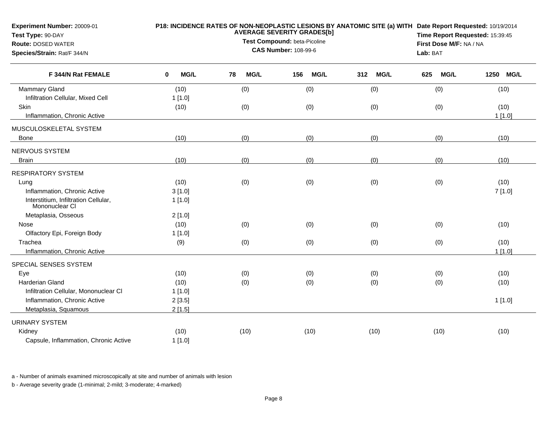| Experiment Number: 20009-01<br>Test Type: 90-DAY<br><b>Route: DOSED WATER</b><br>Species/Strain: Rat/F 344/N | P18: INCIDENCE RATES OF NON-NEOPLASTIC LESIONS BY ANATOMIC SITE (a) WITH Date Report Requested: 10/19/2014<br><b>AVERAGE SEVERITY GRADES[b]</b><br>Test Compound: beta-Picoline<br><b>CAS Number: 108-99-6</b> |                   |                    |                    | Time Report Requested: 15:39:45<br>First Dose M/F: NA / NA<br>Lab: BAT |           |
|--------------------------------------------------------------------------------------------------------------|----------------------------------------------------------------------------------------------------------------------------------------------------------------------------------------------------------------|-------------------|--------------------|--------------------|------------------------------------------------------------------------|-----------|
| F 344/N Rat FEMALE                                                                                           | <b>MG/L</b><br>0                                                                                                                                                                                               | <b>MG/L</b><br>78 | 156<br><b>MG/L</b> | 312<br><b>MG/L</b> | <b>MG/L</b><br>625                                                     | 1250 MG/L |
| <b>Mammary Gland</b>                                                                                         | (10)                                                                                                                                                                                                           | (0)               | (0)                | (0)                | (0)                                                                    | (10)      |
| Infiltration Cellular, Mixed Cell                                                                            | 1[1.0]                                                                                                                                                                                                         |                   |                    |                    |                                                                        |           |
| Skin                                                                                                         | (10)                                                                                                                                                                                                           | (0)               | (0)                | (0)                | (0)                                                                    | (10)      |
| Inflammation, Chronic Active                                                                                 |                                                                                                                                                                                                                |                   |                    |                    |                                                                        | 1[1.0]    |
| MUSCULOSKELETAL SYSTEM                                                                                       |                                                                                                                                                                                                                |                   |                    |                    |                                                                        |           |
| Bone                                                                                                         | (10)                                                                                                                                                                                                           | (0)               | (0)                | (0)                | (0)                                                                    | (10)      |
| NERVOUS SYSTEM                                                                                               |                                                                                                                                                                                                                |                   |                    |                    |                                                                        |           |
| Brain                                                                                                        | (10)                                                                                                                                                                                                           | (0)               | (0)                | (0)                | (0)                                                                    | (10)      |
| <b>RESPIRATORY SYSTEM</b>                                                                                    |                                                                                                                                                                                                                |                   |                    |                    |                                                                        |           |
| Lung                                                                                                         | (10)                                                                                                                                                                                                           | (0)               | (0)                | (0)                | (0)                                                                    | (10)      |
| Inflammation, Chronic Active                                                                                 | 3[1.0]                                                                                                                                                                                                         |                   |                    |                    |                                                                        | 7[1.0]    |
| Interstitium, Infiltration Cellular,<br>Mononuclear CI                                                       | 1[1.0]                                                                                                                                                                                                         |                   |                    |                    |                                                                        |           |
| Metaplasia, Osseous                                                                                          | 2[1.0]                                                                                                                                                                                                         |                   |                    |                    |                                                                        |           |
| Nose                                                                                                         | (10)                                                                                                                                                                                                           | (0)               | (0)                | (0)                | (0)                                                                    | (10)      |
| Olfactory Epi, Foreign Body                                                                                  | 1[1.0]                                                                                                                                                                                                         |                   |                    |                    |                                                                        |           |
| Trachea                                                                                                      | (9)                                                                                                                                                                                                            | (0)               | (0)                | (0)                | (0)                                                                    | (10)      |
| Inflammation, Chronic Active                                                                                 |                                                                                                                                                                                                                |                   |                    |                    |                                                                        | 1[1.0]    |
| SPECIAL SENSES SYSTEM                                                                                        |                                                                                                                                                                                                                |                   |                    |                    |                                                                        |           |
| Eye                                                                                                          | (10)                                                                                                                                                                                                           | (0)               | (0)                | (0)                | (0)                                                                    | (10)      |
| Harderian Gland                                                                                              | (10)                                                                                                                                                                                                           | (0)               | (0)                | (0)                | (0)                                                                    | (10)      |
| Infiltration Cellular, Mononuclear CI                                                                        | 1[1.0]                                                                                                                                                                                                         |                   |                    |                    |                                                                        |           |
| Inflammation, Chronic Active                                                                                 | 2[3.5]                                                                                                                                                                                                         |                   |                    |                    |                                                                        | 1[1.0]    |
| Metaplasia, Squamous                                                                                         | 2[1.5]                                                                                                                                                                                                         |                   |                    |                    |                                                                        |           |
| <b>URINARY SYSTEM</b>                                                                                        |                                                                                                                                                                                                                |                   |                    |                    |                                                                        |           |
| Kidney                                                                                                       | (10)                                                                                                                                                                                                           | (10)              | (10)               | (10)               | (10)                                                                   | (10)      |
| Capsule, Inflammation, Chronic Active                                                                        | 1[1.0]                                                                                                                                                                                                         |                   |                    |                    |                                                                        |           |